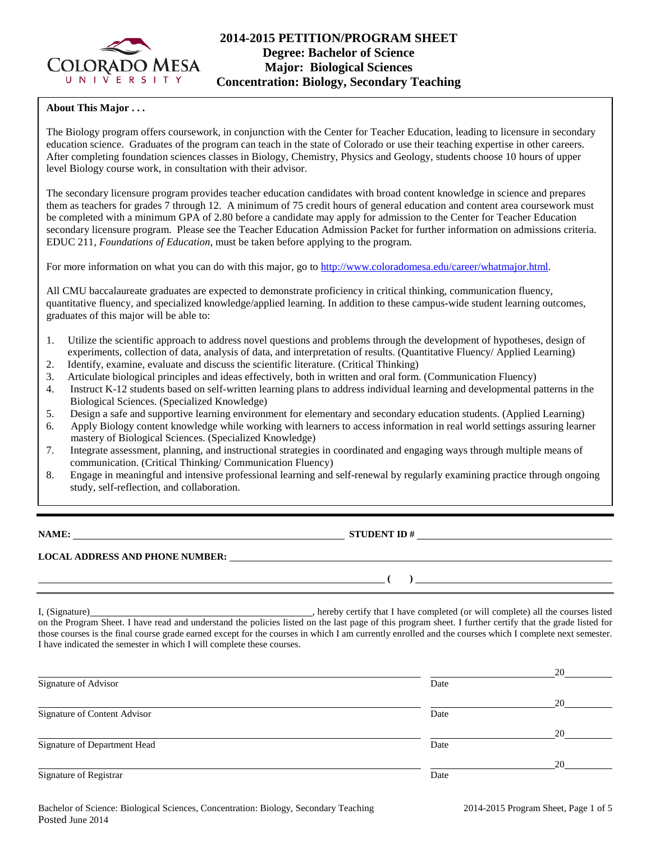

# **2014-2015 PETITION/PROGRAM SHEET Degree: Bachelor of Science Major: Biological Sciences Concentration: Biology, Secondary Teaching**

### **About This Major . . .**

The Biology program offers coursework, in conjunction with the Center for Teacher Education, leading to licensure in secondary education science. Graduates of the program can teach in the state of Colorado or use their teaching expertise in other careers. After completing foundation sciences classes in Biology, Chemistry, Physics and Geology, students choose 10 hours of upper level Biology course work, in consultation with their advisor.

The secondary licensure program provides teacher education candidates with broad content knowledge in science and prepares them as teachers for grades 7 through 12. A minimum of 75 credit hours of general education and content area coursework must be completed with a minimum GPA of 2.80 before a candidate may apply for admission to the Center for Teacher Education secondary licensure program. Please see the Teacher Education Admission Packet for further information on admissions criteria. EDUC 211, *Foundations of Education*, must be taken before applying to the program.

For more information on what you can do with this major, go to [http://www.coloradomesa.edu/career/whatmajor.html.](http://www.coloradomesa.edu/career/whatmajor.html)

All CMU baccalaureate graduates are expected to demonstrate proficiency in critical thinking, communication fluency, quantitative fluency, and specialized knowledge/applied learning. In addition to these campus-wide student learning outcomes, graduates of this major will be able to:

- 1. Utilize the scientific approach to address novel questions and problems through the development of hypotheses, design of experiments, collection of data, analysis of data, and interpretation of results. (Quantitative Fluency/ Applied Learning)
- 2. Identify, examine, evaluate and discuss the scientific literature. (Critical Thinking)
- 3. Articulate biological principles and ideas effectively, both in written and oral form. (Communication Fluency)
- 4. Instruct K-12 students based on self-written learning plans to address individual learning and developmental patterns in the Biological Sciences. (Specialized Knowledge)
- 5. Design a safe and supportive learning environment for elementary and secondary education students. (Applied Learning)
- 6. Apply Biology content knowledge while working with learners to access information in real world settings assuring learner mastery of Biological Sciences. (Specialized Knowledge)
- 7. Integrate assessment, planning, and instructional strategies in coordinated and engaging ways through multiple means of communication. (Critical Thinking/ Communication Fluency)
- 8. Engage in meaningful and intensive professional learning and self-renewal by regularly examining practice through ongoing study, self-reflection, and collaboration.

**NAME: STUDENT ID #**

 $( )$ 

# **LOCAL ADDRESS AND PHONE NUMBER:**

I, (Signature) , hereby certify that I have completed (or will complete) all the courses listed on the Program Sheet. I have read and understand the policies listed on the last page of this program sheet. I further certify that the grade listed for those courses is the final course grade earned except for the courses in which I am currently enrolled and the courses which I complete next semester. I have indicated the semester in which I will complete these courses.

|                              |      | 20 |
|------------------------------|------|----|
| Signature of Advisor         | Date |    |
|                              |      | 20 |
| Signature of Content Advisor | Date |    |
|                              |      | 20 |
| Signature of Department Head | Date |    |
|                              |      | 20 |
| Signature of Registrar       | Date |    |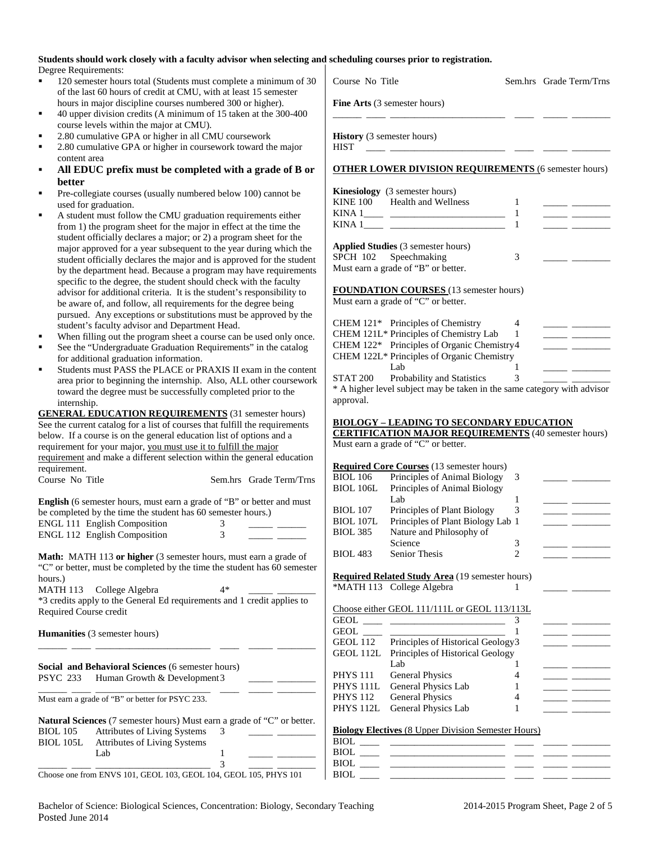| Students should work closely with a faculty advisor when selecting and scheduling courses prior to registration. |  |
|------------------------------------------------------------------------------------------------------------------|--|
| Degree Requirements:                                                                                             |  |

- 120 semester hours total (Students must complete a minimum of 30 of the last 60 hours of credit at CMU, with at least 15 semester hours in major discipline courses numbered 300 or higher).
- 40 upper division credits (A minimum of 15 taken at the 300-400 course levels within the major at CMU).
- 2.80 cumulative GPA or higher in all CMU coursework
- 2.80 cumulative GPA or higher in coursework toward the major content area
- **All EDUC prefix must be completed with a grade of B or better**
- Pre-collegiate courses (usually numbered below 100) cannot be used for graduation.
- A student must follow the CMU graduation requirements either from 1) the program sheet for the major in effect at the time the student officially declares a major; or 2) a program sheet for the major approved for a year subsequent to the year during which the student officially declares the major and is approved for the studen by the department head. Because a program may have requirement specific to the degree, the student should check with the faculty advisor for additional criteria. It is the student's responsibility to be aware of, and follow, all requirements for the degree being pursued. Any exceptions or substitutions must be approved by the student's faculty advisor and Department Head.
- When filling out the program sheet a course can be used only once.
- See the "Undergraduate Graduation Requirements" in the catalog for additional graduation information.
- Students must PASS the PLACE or PRAXIS II exam in the conten area prior to beginning the internship. Also, ALL other coursework toward the degree must be successfully completed prior to the internship.

| <b>GENERAL EDUCATION REQUIREMENTS (31 semester hours)</b>                   |                         |
|-----------------------------------------------------------------------------|-------------------------|
| See the current catalog for a list of courses that fulfill the requirements |                         |
| below. If a course is on the general education list of options and a        |                         |
| requirement for your major, you must use it to fulfill the major            |                         |
| requirement and make a different selection within the general education     |                         |
| requirement.                                                                |                         |
| Course No Title                                                             | Sem.hrs Grade Term/Trns |

| <b>English</b> (6 semester hours, must earn a grade of "B" or better and must |  |
|-------------------------------------------------------------------------------|--|
| be completed by the time the student has 60 semester hours.)                  |  |
| <b>ENGL 111 English Composition</b>                                           |  |
| <b>ENGL 112 English Composition</b>                                           |  |

|                 | <b>Natural Sciences</b> (7 semester hours) Must earn a grade of "C" or better. |    |  |
|-----------------|--------------------------------------------------------------------------------|----|--|
| <b>BIOL</b> 105 | <b>Attributes of Living Systems</b>                                            | -3 |  |
| BIOL 105L       | <b>Attributes of Living Systems</b>                                            |    |  |
|                 | Lab.                                                                           |    |  |
|                 |                                                                                |    |  |

Choose one from ENVS 101, GEOL 103, GEOL 104, GEOL 105, PHYS 101

| 120 semester hours total (Students must complete a minimum of 30<br>٠                                                                       | Course No Title<br>Sem.hrs Grade Term/Trns                                    |
|---------------------------------------------------------------------------------------------------------------------------------------------|-------------------------------------------------------------------------------|
| of the last 60 hours of credit at CMU, with at least 15 semester                                                                            |                                                                               |
| hours in major discipline courses numbered 300 or higher).                                                                                  | Fine Arts (3 semester hours)                                                  |
| 40 upper division credits (A minimum of 15 taken at the 300-400                                                                             |                                                                               |
| course levels within the major at CMU).                                                                                                     |                                                                               |
| 2.80 cumulative GPA or higher in all CMU coursework<br>٠                                                                                    | <b>History</b> (3 semester hours)                                             |
| 2.80 cumulative GPA or higher in coursework toward the major<br>٠<br>content area                                                           | <b>HIST</b>                                                                   |
| All EDUC prefix must be completed with a grade of B or<br>٠                                                                                 | <b>OTHER LOWER DIVISION REQUIREMENTS (6 semester hours)</b>                   |
|                                                                                                                                             |                                                                               |
| better<br>Pre-collegiate courses (usually numbered below 100) cannot be<br>٠                                                                | <b>Kinesiology</b> (3 semester hours)                                         |
| used for graduation.                                                                                                                        | <b>KINE 100</b><br><b>Health and Wellness</b><br>1<br>____ _____              |
| A student must follow the CMU graduation requirements either<br>٠                                                                           | 1                                                                             |
| from 1) the program sheet for the major in effect at the time the                                                                           | $\mathbf{1}$                                                                  |
| student officially declares a major; or 2) a program sheet for the                                                                          |                                                                               |
| major approved for a year subsequent to the year during which the                                                                           | Applied Studies (3 semester hours)                                            |
| student officially declares the major and is approved for the student                                                                       | SPCH 102 Speechmaking<br>3<br>Must earn a grade of "B" or better.             |
| by the department head. Because a program may have requirements                                                                             |                                                                               |
| specific to the degree, the student should check with the faculty<br>advisor for additional criteria. It is the student's responsibility to | <b>FOUNDATION COURSES</b> (13 semester hours)                                 |
| be aware of, and follow, all requirements for the degree being                                                                              | Must earn a grade of "C" or better.                                           |
| pursued. Any exceptions or substitutions must be approved by the                                                                            |                                                                               |
| student's faculty advisor and Department Head.                                                                                              | CHEM 121* Principles of Chemistry<br>4                                        |
| When filling out the program sheet a course can be used only once.<br>٠                                                                     | CHEM 121L* Principles of Chemistry Lab<br>1                                   |
| See the "Undergraduate Graduation Requirements" in the catalog<br>٠                                                                         | CHEM 122* Principles of Organic Chemistry4                                    |
| for additional graduation information.                                                                                                      | CHEM 122L* Principles of Organic Chemistry                                    |
| Students must PASS the PLACE or PRAXIS II exam in the content<br>٠                                                                          | Lab<br>1<br>Probability and Statistics<br>3<br><b>STAT 200</b>                |
| area prior to beginning the internship. Also, ALL other coursework<br>toward the degree must be successfully completed prior to the         | * A higher level subject may be taken in the same category with advisor       |
| internship.                                                                                                                                 | approval.                                                                     |
| <b>GENERAL EDUCATION REQUIREMENTS</b> (31 semester hours)                                                                                   |                                                                               |
| See the current catalog for a list of courses that fulfill the requirements                                                                 | <b>BIOLOGY - LEADING TO SECONDARY EDUCATION</b>                               |
| below. If a course is on the general education list of options and a                                                                        | <b>CERTIFICATION MAJOR REQUIREMENTS</b> (40 semester hours)                   |
| requirement for your major, you must use it to fulfill the major                                                                            | Must earn a grade of "C" or better.                                           |
| requirement and make a different selection within the general education                                                                     | <b>Required Core Courses</b> (13 semester hours)                              |
| requirement.                                                                                                                                | <b>BIOL 106</b><br>Principles of Animal Biology<br>$\overline{3}$             |
| Course No Title<br>Sem.hrs Grade Term/Trns                                                                                                  | <b>BIOL 106L</b><br>Principles of Animal Biology                              |
| English (6 semester hours, must earn a grade of "B" or better and must                                                                      | Lab<br>1                                                                      |
| be completed by the time the student has 60 semester hours.)                                                                                | <b>BIOL 107</b><br>Principles of Plant Biology<br>3                           |
| <b>ENGL 111 English Composition</b><br>3                                                                                                    | <b>BIOL 107L</b><br>Principles of Plant Biology Lab 1<br>$\sim$ $-$           |
| 3<br>ENGL 112 English Composition                                                                                                           | <b>BIOL 385</b><br>Nature and Philosophy of                                   |
|                                                                                                                                             | Science<br>3                                                                  |
| Math: MATH 113 or higher (3 semester hours, must earn a grade of                                                                            | <b>BIOL 483</b><br>Senior Thesis<br>2                                         |
| "C" or better, must be completed by the time the student has 60 semester                                                                    | <b>Required Related Study Area</b> (19 semester hours)                        |
| hours.)<br>$4*$<br>College Algebra                                                                                                          | *MATH 113 College Algebra<br>1                                                |
| MATH 113<br>*3 credits apply to the General Ed requirements and 1 credit applies to                                                         |                                                                               |
| Required Course credit                                                                                                                      | Choose either GEOL 111/111L or GEOL 113/113L                                  |
|                                                                                                                                             | 3                                                                             |
| Humanities (3 semester hours)                                                                                                               | GEOL $\_\_\_\$<br>$\mathbf{1}$                                                |
|                                                                                                                                             | Principles of Historical Geology3<br><b>GEOL 112</b><br><u> 1999 - Jan Ja</u> |
|                                                                                                                                             | GEOL 112L Principles of Historical Geology                                    |
| Social and Behavioral Sciences (6 semester hours)                                                                                           | Lab<br>1<br><b>PHYS 111</b>                                                   |
| Human Growth & Development3<br>PSYC 233                                                                                                     | <b>General Physics</b><br>4<br>PHYS 111L<br>General Physics Lab<br>1          |
| Must earn a grade of "B" or better for PSYC 233.                                                                                            | <b>PHYS 112</b><br><b>General Physics</b><br>4                                |
|                                                                                                                                             | PHYS 112L General Physics Lab                                                 |

| <b>Biology Electives</b> (8 Upper Division Semester Hours) |
|------------------------------------------------------------|
|------------------------------------------------------------|

PHYS 112L General Physics Lab

| BIOL |  |  |
|------|--|--|
| BIOL |  |  |
| BIOL |  |  |
| BIOL |  |  |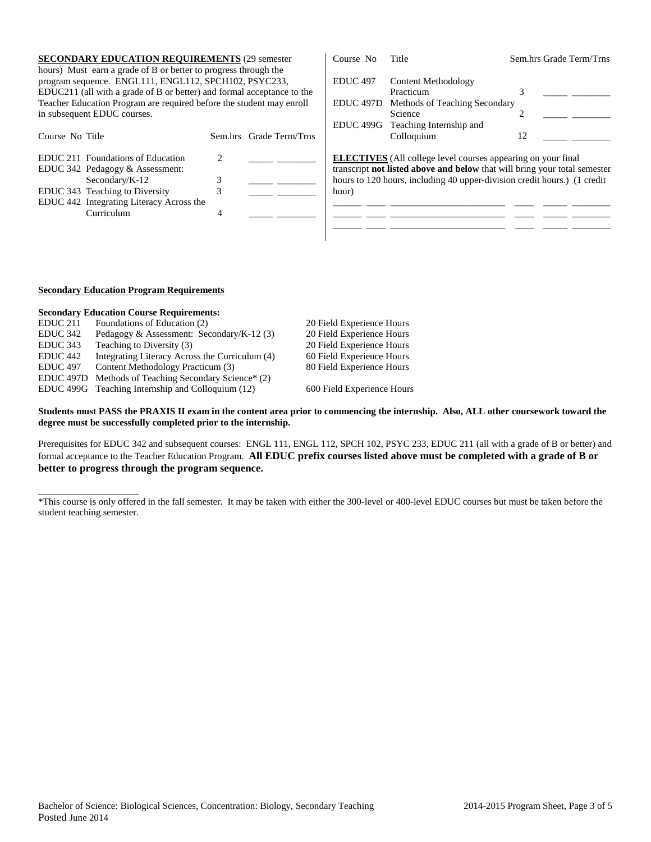| <b>SECONDARY EDUCATION REQUIREMENTS (29 semester)</b><br>hours) Must earn a grade of B or better to progress through the                                                              |                         | Course No           | Title                                                                                                                                                                                                                        | Sem.hrs Grade Term/Trns |
|---------------------------------------------------------------------------------------------------------------------------------------------------------------------------------------|-------------------------|---------------------|------------------------------------------------------------------------------------------------------------------------------------------------------------------------------------------------------------------------------|-------------------------|
| program sequence. ENGL111, ENGL112, SPCH102, PSYC233,                                                                                                                                 |                         | EDUC <sub>497</sub> | Content Methodology                                                                                                                                                                                                          |                         |
| EDUC211 (all with a grade of B or better) and formal acceptance to the                                                                                                                |                         |                     | Practicum                                                                                                                                                                                                                    |                         |
| Teacher Education Program are required before the student may enroll                                                                                                                  |                         | EDUC 497D           | Methods of Teaching Secondary                                                                                                                                                                                                |                         |
| in subsequent EDUC courses.                                                                                                                                                           |                         |                     | Science                                                                                                                                                                                                                      |                         |
|                                                                                                                                                                                       |                         |                     | EDUC 499G Teaching Internship and                                                                                                                                                                                            |                         |
| Course No Title                                                                                                                                                                       | Sem.hrs Grade Term/Trns |                     | Colloquium                                                                                                                                                                                                                   | 12                      |
| EDUC 211 Foundations of Education<br>EDUC 342 Pedagogy & Assessment:<br>Secondary/ $K-12$<br>EDUC 343 Teaching to Diversity<br>EDUC 442 Integrating Literacy Across the<br>Curriculum |                         | hour)               | <b>ELECTIVES</b> (All college level courses appearing on your final<br>transcript not listed above and below that will bring your total semester<br>hours to 120 hours, including 40 upper-division credit hours.) (1 credit |                         |

#### **Secondary Education Program Requirements**

\_\_\_\_\_\_\_\_\_\_\_\_\_\_\_\_\_\_\_\_\_

|                      | <b>Secondary Education Course Requirements:</b>   |                            |
|----------------------|---------------------------------------------------|----------------------------|
| EDUC <sub>211</sub>  | Foundations of Education (2)                      | 20 Field Experience Hours  |
| EDUC 342             | Pedagogy & Assessment: Secondary/K-12 $(3)$       | 20 Field Experience Hours  |
| EDUC 343             | Teaching to Diversity (3)                         | 20 Field Experience Hours  |
| EDUC <sub>442</sub>  | Integrating Literacy Across the Curriculum (4)    | 60 Field Experience Hours  |
| <b>EDUC</b> 497      | Content Methodology Practicum (3)                 | 80 Field Experience Hours  |
| EDUC <sub>497D</sub> | Methods of Teaching Secondary Science* (2)        |                            |
|                      | EDUC 499G Teaching Internship and Colloquium (12) | 600 Field Experience Hours |

**Students must PASS the PRAXIS II exam in the content area prior to commencing the internship. Also, ALL other coursework toward the degree must be successfully completed prior to the internship.** 

Prerequisites for EDUC 342 and subsequent courses: ENGL 111, ENGL 112, SPCH 102, PSYC 233, EDUC 211 (all with a grade of B or better) and formal acceptance to the Teacher Education Program. **All EDUC prefix courses listed above must be completed with a grade of B or better to progress through the program sequence.**

\_\_\_\_\_\_ \_\_\_\_ \_\_\_\_\_\_\_\_\_\_\_\_\_\_\_\_\_\_\_\_\_\_\_\_ \_\_\_\_ \_\_\_\_\_ \_\_\_\_\_\_\_\_

<sup>\*</sup>This course is only offered in the fall semester. It may be taken with either the 300-level or 400-level EDUC courses but must be taken before the student teaching semester.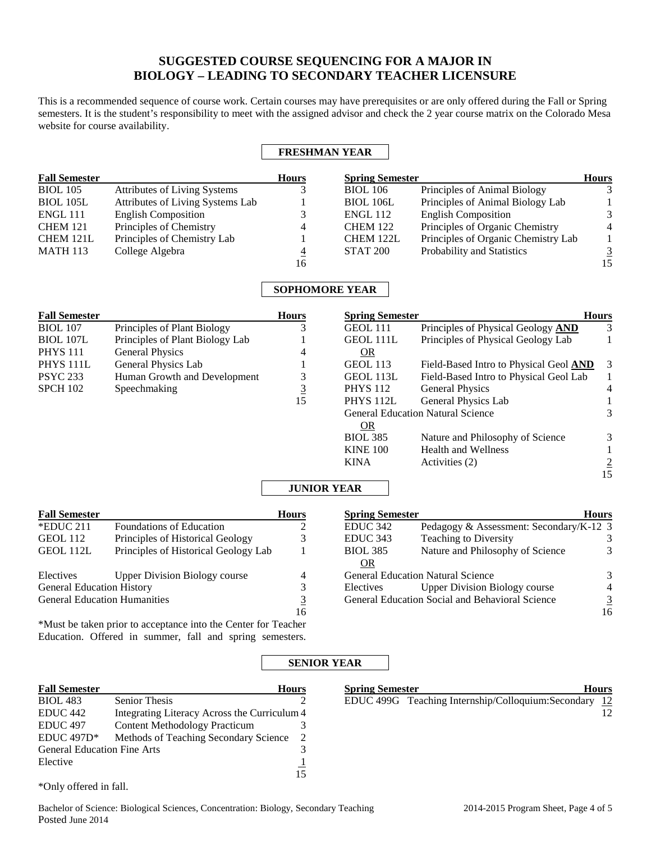# **SUGGESTED COURSE SEQUENCING FOR A MAJOR IN BIOLOGY – LEADING TO SECONDARY TEACHER LICENSURE**

This is a recommended sequence of course work. Certain courses may have prerequisites or are only offered during the Fall or Spring semesters. It is the student's responsibility to meet with the assigned advisor and check the 2 year course matrix on the Colorado Mesa website for course availability.

### **FRESHMAN YEAR**

| <b>Fall Semester</b> |                                  | <b>Hours</b> | <b>Spring Semester</b> |                                     | <b>Hours</b>   |
|----------------------|----------------------------------|--------------|------------------------|-------------------------------------|----------------|
| <b>BIOL</b> 105      | Attributes of Living Systems     |              | <b>BIOL</b> 106        | Principles of Animal Biology        |                |
| <b>BIOL 105L</b>     | Attributes of Living Systems Lab |              | <b>BIOL 106L</b>       | Principles of Animal Biology Lab    |                |
| ENGL 111             | <b>English Composition</b>       |              | <b>ENGL 112</b>        | <b>English Composition</b>          | $\mathcal{R}$  |
| <b>CHEM 121</b>      | Principles of Chemistry          | 4            | <b>CHEM 122</b>        | Principles of Organic Chemistry     | $\overline{4}$ |
| CHEM 121L            | Principles of Chemistry Lab      |              | CHEM 122L              | Principles of Organic Chemistry Lab |                |
| <b>MATH 113</b>      | College Algebra                  | 4            | <b>STAT 200</b>        | Probability and Statistics          | 3              |
|                      |                                  | 16           |                        |                                     | 15             |

## **SOPHOMORE YEAR**

| <b>Fall Semester</b> |                                 | <b>Hours</b> | <b>Spring Semester</b> |                                          | <b>Hours</b>   |
|----------------------|---------------------------------|--------------|------------------------|------------------------------------------|----------------|
| <b>BIOL</b> 107      | Principles of Plant Biology     |              | GEOL 111               | Principles of Physical Geology AND       | 3              |
| <b>BIOL 107L</b>     | Principles of Plant Biology Lab |              | GEOL 111L              | Principles of Physical Geology Lab       |                |
| <b>PHYS 111</b>      | General Physics                 | 4            | <b>OR</b>              |                                          |                |
| PHYS <sub>111L</sub> | General Physics Lab             |              | <b>GEOL</b> 113        | Field-Based Intro to Physical Geol AND   | 3              |
| <b>PSYC 233</b>      | Human Growth and Development    |              | GEOL 113L              | Field-Based Intro to Physical Geol Lab   |                |
| <b>SPCH 102</b>      | Speechmaking                    | <u>3</u>     | <b>PHYS</b> 112        | <b>General Physics</b>                   | 4              |
|                      |                                 | 15           | <b>PHYS 112L</b>       | General Physics Lab                      |                |
|                      |                                 |              |                        | <b>General Education Natural Science</b> |                |
|                      |                                 |              | <b>OR</b>              |                                          |                |
|                      |                                 |              | <b>BIOL 385</b>        | Nature and Philosophy of Science         | 3              |
|                      |                                 |              | <b>KINE 100</b>        | <b>Health and Wellness</b>               |                |
|                      |                                 |              | <b>KINA</b>            | Activities (2)                           | $\overline{2}$ |
|                      |                                 |              |                        |                                          | 15             |

## **JUNIOR YEAR**

| <b>Fall Semester</b>                |                                      | <b>Hours</b> | <b>Spring Semester</b> |                                                 | <b>Hours</b>   |
|-------------------------------------|--------------------------------------|--------------|------------------------|-------------------------------------------------|----------------|
| $*$ EDUC 211                        | Foundations of Education             |              | EDUC <sub>342</sub>    | Pedagogy & Assessment: Secondary/K-12 3         |                |
| GEOL 112                            | Principles of Historical Geology     |              | EDUC <sub>343</sub>    | <b>Teaching to Diversity</b>                    |                |
| GEOL 112L                           | Principles of Historical Geology Lab |              | <b>BIOL 385</b>        | Nature and Philosophy of Science                |                |
|                                     |                                      |              | <b>OR</b>              |                                                 |                |
| Electives                           | <b>Upper Division Biology course</b> |              |                        | <b>General Education Natural Science</b>        | 3              |
| <b>General Education History</b>    |                                      |              | Electives              | <b>Upper Division Biology course</b>            | 4              |
| <b>General Education Humanities</b> |                                      |              |                        | General Education Social and Behavioral Science | $\overline{3}$ |
|                                     |                                      | 16           |                        |                                                 | 16             |
|                                     |                                      |              |                        |                                                 |                |

\*Must be taken prior to acceptance into the Center for Teacher Education. Offered in summer, fall and spring semesters.

## **SENIOR YEAR**

| <b>Fall Semester</b>               |                                              | <b>Hours</b> | <b>Spring Semester</b> |                                                    | <b>Hours</b> |
|------------------------------------|----------------------------------------------|--------------|------------------------|----------------------------------------------------|--------------|
| <b>BIOL</b> 483                    | <b>Senior Thesis</b>                         |              |                        | EDUC 499G Teaching Internship/Colloquium:Secondary | -12          |
| EDUC <sub>442</sub>                | Integrating Literacy Across the Curriculum 4 |              |                        |                                                    | 12.          |
| EDUC <sub>497</sub>                | <b>Content Methodology Practicum</b>         |              |                        |                                                    |              |
| $EDUC 497D*$                       | Methods of Teaching Secondary Science        |              |                        |                                                    |              |
| <b>General Education Fine Arts</b> |                                              |              |                        |                                                    |              |
| Elective                           |                                              |              |                        |                                                    |              |

15

\*Only offered in fall.

16